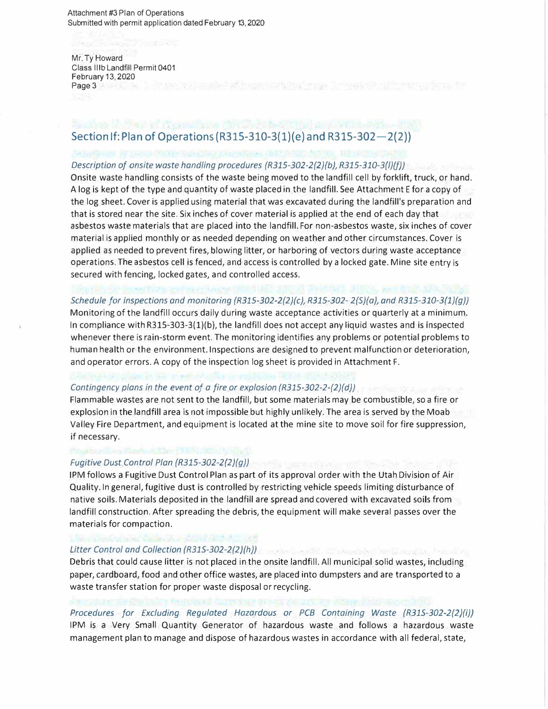Attachment #3 Plan of Operations Submitted with permit application dated February 13, 2020

## Mr. Ty Howard Class lllb Landfill Permit 0401 February 13, 2020 Page 3

# **Section If: Plan of Operations (R315-310-3(1)(e) and R315-302-2(2))**

#### *Description of onsite waste handling procedures {R315-302-2{2}{b), R315-310-3{l}{f))*

Onsite waste handling consists of the waste being moved to the landfill cell by forklift, truck, or hand. A log is kept of the type and quantity of waste placed in the landfill. See Attachment E for a copy of the log sheet. Cover is applied using material that was excavated during the landfill's preparation and that is stored near the site. Six inches of cover material is applied at the end of each day that asbestos waste materials that are placed into the landfill. For non-asbestos waste, six inches of cover material is applied monthly or as needed depending on weather and other circumstances. Cover is applied as needed to prevent fires, blowing litter, or harboring of vectors during waste acceptance operations. The asbestos cell is fenced, and access is controlled by a locked gate. Mine site entry is secured with fencing, locked gates, and controlled access.

# *Schedule for inspections and monitoring {R315-302-2{2}{c), R315-302- 2{S)(a), and R315-310-3{1)(g))*

Monitoring of the landfill occurs daily during waste acceptance activities or quarterly at a minimum. In compliance with R315-303-3{1)(b), the landfill does not accept any liquid wastes and is inspected whenever there is rain-storm event. The monitoring identifies any problems or potential problems to human health or the environment. Inspections are designed to prevent malfunction or deterioration, and operator errors. A copy of the inspection log sheet is provided in Attachment F.

## *Contingency plans in the event of a fire or explosion {R315-302-2-{2}{d}}*

Flammable wastes are not sent to the landfill, but some materials may be combustible, so a fire or explosion in the landfill area is not impossible but highly unlikely. The area is served by the Moab Valley Fire Department, and equipment is located at the mine site to move soil for fire suppression, if necessary.

### *Fugitive Dust Control Plan {R315-302-2{2}{g))*

1PM follows a Fugitive Dust Control Plan as part of its approval order with the Utah Division of Air Quality. In general, fugitive dust is controlled by restricting vehicle speeds limiting disturbance of native soils. Materials deposited in the landfill are spread and covered with excavated soils from landfill construction. After spreading the debris, the equipment will make several passes over the materials for compaction.

# *Litter Control and Collection {R31S-302-2{2}{h})*

Debris that could cause litter is not placed in the onsite landfill. All municipal solid wastes, including paper, cardboard, food and other office wastes, are placed into dumpsters and are transported to a waste transfer station for proper waste disposal or recycling.

*Procedures for Excluding Regulated Hazardous or PCB Containing Waste {R31S-302-2{2}{i))*  1PM is a Very Small Quantity Generator of hazardous waste and follows a hazardous waste management plan to manage and dispose of hazardous wastes in accordance with all federal, state,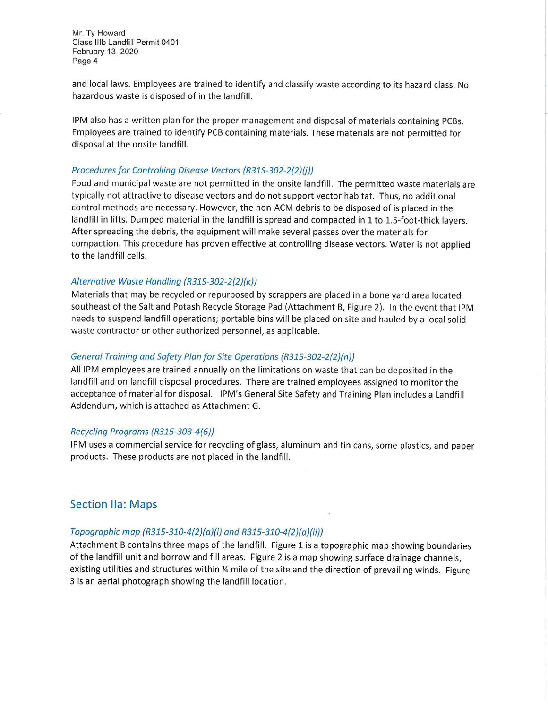Mr. Ty Howard Class lllb Landfill Permit 0401 February 13, 2020 Page 4

and local laws. Employees are trained to identify and classify waste according to its hazard class. No hazardous waste is disposed of in the landfill.

t-

1PM also has a written plan for the proper management and disposal of materials containing PCBs. Employees are trained to identify PCB containing materials. These materials are not permitted for disposal at the onsite landfill.

#### Procedures for Controlling Disease Vectors {R31S-302-2{2}{j))

Food and municipal waste are not permitted in the onsite landfill. The permitted waste materials are typically not attractive to disease vectors and do not support vector habitat. Thus, no additional control methods are necessary. However, the non-ACM debris to be disposed of is placed in the landfill in lifts. Dumped material in the landfill is spread and compacted in 1 to 1.5-foot-thick layers. After spreading the debris, the equipment will make several passes over the materials for compaction. This procedure has proven effective at controlling disease vectors. Water is not applied to the landfill cells.

#### Alternative Waste Handling {R31S-302-2{2)(k))

Materials that may be recycled or repurposed by scrappers are placed in a bone yard area located southeast of the Salt and Potash Recycle Storage Pad (Attachment B, Figure 2). In the event that 1PM needs to suspend landfill operations; portable bins will be placed on site and hauled by a local solid waste contractor or other authorized personnel, as applicable.

#### General Training and Safety Plan for Site Operations {R315-302-2{2}{n))

All lPM employees are trained annually on the limitations on waste that can be deposited in the landfill and on landfill disposal procedures. There are trained employees assigned to monitor the acceptance of material for disposal. IPM's General Site Safety and Training Plan includes a Landfill Addendum, which is attached as Attachment G.

#### Recycling Programs {R315-303-4{6))

1PM uses a commercial service for recycling of glass, aluminum and tin cans, some plastics, and paper products. These products are not placed in the landfill.

## Section Ila: Maps

#### Topographic map {R315-310-4{2){a)(i) and R315-310-4{2){a)(ii))

Attachment B contains three maps of the landfill. Figure 1 is a topographic map showing boundaries of the landfill unit and borrow and fill areas. Figure 2 is a map showing surface drainage channels, existing utilities and structures within % mile of the site and the direction of prevailing winds. Figure 3 is an aerial photograph showing the landfill location.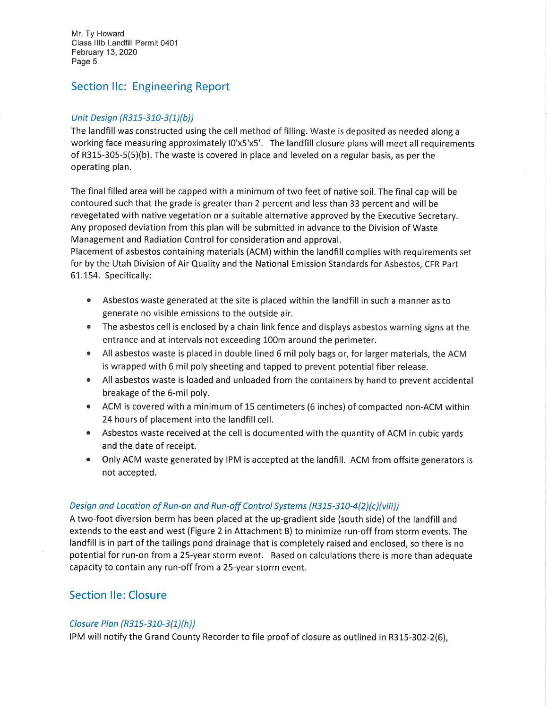Mr. Ty Howard Class lllb Landfill Permit 0401 February 13, 2020 Page 5

# Section IIc: Engineering Report

## Unit Design (R315-310-3(1}(b))

The landfill was constructed using the cell method of filling. Waste is deposited as needed along a working face measuring approximately IO'x5'x5'. The landfill closure plans will meet all requirements of R315-305-5(5)(b). The waste is covered in place and leveled on a regular basis, as per the operating plan.

The final filled area will be capped with a minimum of two feet of native soil. The final cap will be contoured such that the grade is greater than 2 percent and less than 33 percent and will be revegetated with native vegetation or a suitable alternative approved by the Executive Secretary. Any proposed deviation from this plan will be submitted in advance to the Division of Waste Management and Radiation Control for consideration and approval.

Placement of asbestos containing materials (ACM) within the landfill complies with requirements set for by the Utah Division of Air Quality and the National Emission Standards for Asbestos, CFR Part 61.154. Specifically:

- Asbestos waste generated at the site is placed within the landfill in such a manner as to generate no visible emissions to the outside air.
- The asbestos cell is enclosed by a chain link fence and displays asbestos warning signs at the entrance and at intervals not exceeding 100m around the perimeter.
- All asbestos waste is placed in double lined 6 mil poly bags or, for larger materials, the ACM is wrapped with 6 mil poly sheeting and tapped to prevent potential fiber release.
- All asbestos waste is loaded and unloaded from the containers by hand to prevent accidental breakage of the 6-mil poly.
- ACM is covered with a minimum of 15 centimeters (6 inches) of compacted non-ACM within 24 hours of placement into the landfill cell.
- Asbestos waste received at the cell is documented with the quantity of ACM in cubic yards and the date of receipt.
- Only ACM waste generated by 1PM is accepted at the landfill. ACM from offsite generators is not accepted.

# Design and Location of Run-on and Run-off Control Systems (R315-310-4(2}(c)(viii))

A two-foot diversion berm has been placed at the up-gradient side (south side) of the landfill and extends to the east and west (Figure 2 in Attachment B) to minimize run-off from storm events. The landfill is in part of the tailings pond drainage that is completely raised and enclosed, so there is no potential for run-on from a 25-year storm event. Based on calculations there is more than adequate capacity to contain any run-off from a 25-year storm event.

# Section lie: Closure

## Closure Plan (R315-310-3(1)(h))

1PM will notify the Grand County Recorder to file proof of closure as outlined in R315-302-2(6),